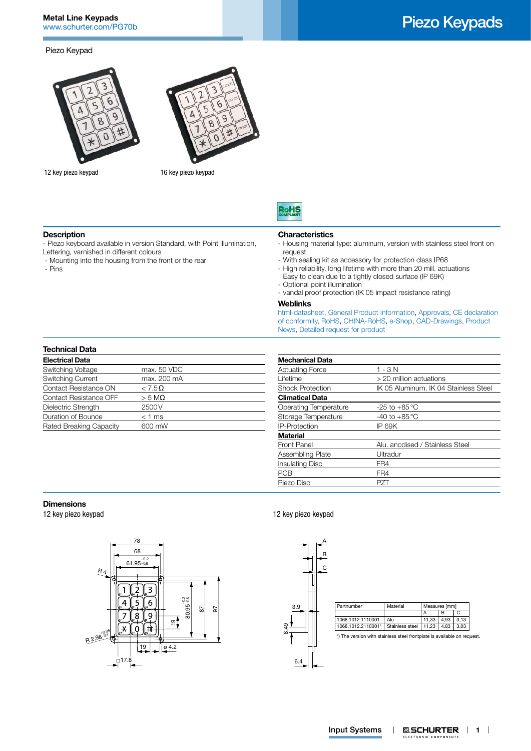#### Piezo Keypad



12 key piezo keypad 16 key piezo keypad





#### **Description**

- Piezo keyboard available in version Standard, with Point Illumination, Lettering, varnished in different colours

- Mounting into the housing from the front or the rear
- Pins

# **Characteristics**

- Housing material type: aluminum, version with stainless steel front on request
- With sealing kit as accessory for protection class IP68
- High reliability, long lifetime with more than 20 mill. actuations Easy to clean due to a tightly closed surface (IP 69K)
- Optional point illumination
- vandal proof protection (IK 05 impact resistance rating)

#### **Weblinks**

[html-datasheet,](http://www.schurter.ch/en/datasheet/Piezo%20Keypads) [General Product Information](http://www.schurter.ch/products/es_general_info.asp), [Approvals,](http://www.schurter.ch/support/iframe_approvals.aspQuery=Field+producttype=Piezo) [CE declaration](http://www.schurter.com/en/Documents-References/Approvals/(id)/Piezo+AND+FIELD+CertificationInstitute=SAG)  [of conformity,](http://www.schurter.com/en/Documents-References/Approvals/(id)/Piezo+AND+FIELD+CertificationInstitute=SAG) [RoHS, CHINA-RoHS](http://www.schurter.com/china-rohs), [e-Shop](http://www.schurter.ch/en/datasheet/Piezo%20Keypads#Anker_Variants), [CAD-Drawings](http://www.schurter.ch/support/iframe_cad.asp?SearchText=Piezo_Keypads&ConfirmButton&SearchFilter=Type), [Product](http://www.schurter.ch/products/product_news.asp?sge=input_systems)  [News](http://www.schurter.ch/products/product_news.asp?sge=input_systems), [Detailed request for product](http://www.schurter.com/Contact/Contact-Form?type=Piezo_Keypads)

# **Technical Data**

| <b>Electrical Data</b>   |                  |
|--------------------------|------------------|
| Switching Voltage        | max. 50 VDC      |
| <b>Switching Current</b> | max. 200 mA      |
| Contact Resistance ON    | $< 7.5\Omega$    |
| Contact Resistance OFF   | $>$ 5 M $\Omega$ |
| Dielectric Strength      | 2500V            |
| Duration of Bounce       | $<$ 1 ms         |
| Rated Breaking Capacity  | 600 mW           |

| <b>Mechanical Data</b>  |                                       |
|-------------------------|---------------------------------------|
| <b>Actuating Force</b>  | $1 - 3N$                              |
| Lifetime                | > 20 million actuations               |
| <b>Shock Protection</b> | IK 05 Aluminum, IK 04 Stainless Steel |
| <b>Climatical Data</b>  |                                       |
| Operating Temperature   | -25 to +85 $^{\circ}$ C               |
| Storage Temperature     | -40 to $+85^{\circ}$ C                |
| <b>IP-Protection</b>    | IP 69K                                |
| <b>Material</b>         |                                       |
| Front Panel             | Alu, anodised / Stainless Steel       |
| Assembling Plate        | Ultradur                              |
| <b>Insulating Disc</b>  | FR4                                   |
| <b>PCB</b>              | FR4                                   |
| Piezo Disc              | P7T                                   |
|                         |                                       |

#### **Dimensions**

12 key piezo keypad



### 12 key piezo keypad



# Piezo Keypads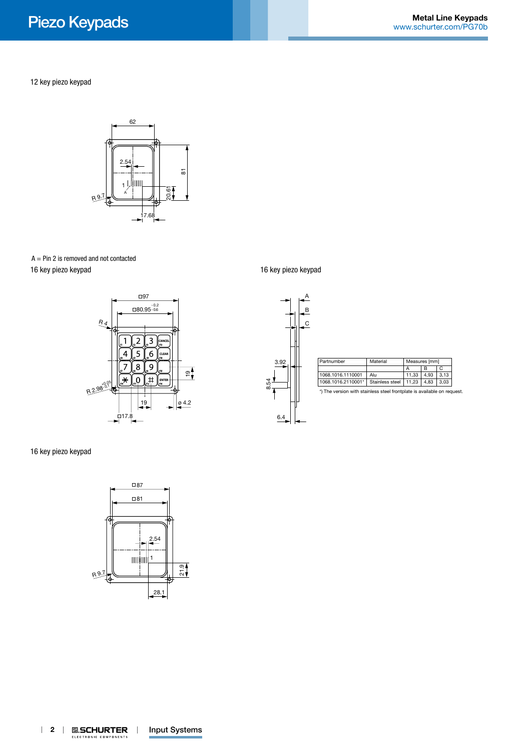12 key piezo keypad



 $A = Pin 2$  is removed and not contacted 16 key piezo keypad



16 key piezo keypad



16 key piezo keypad

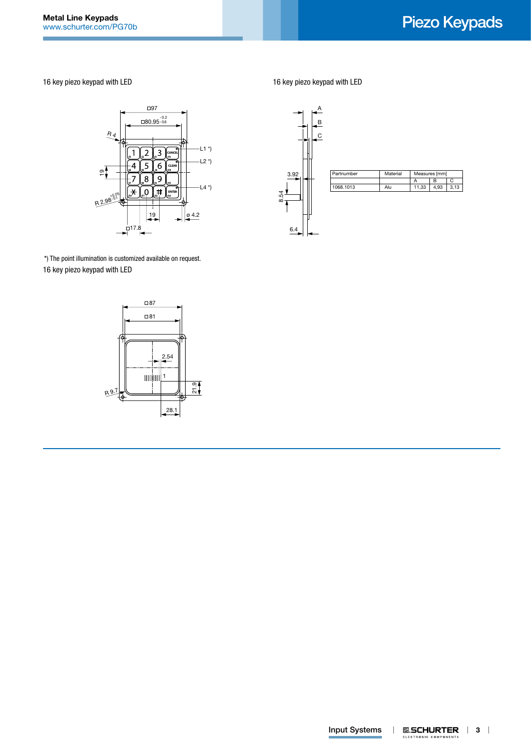16 key piezo keypad with LED



6.4 8.54 3.92 C B  $\overline{A}$ Partnumber Material Measures [mm] A B C 1068.1013 Alu 11,33 4,93 3,13

16 key piezo keypad with LED

\*) The point illumination is customized available on request. 16 key piezo keypad with LED